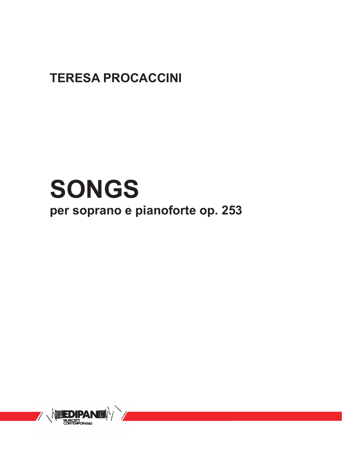### **TERESA PROCACCINI**

# **SONGS per soprano e pianoforte op. 253**

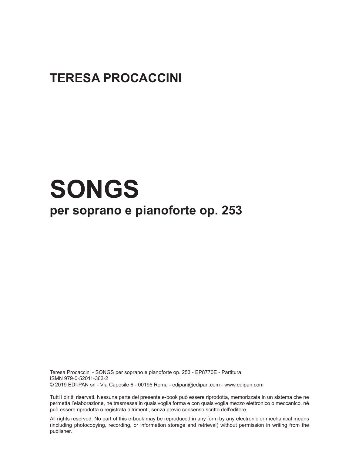### **TERESA PROCACCINI**

## **SONGS per soprano e pianoforte op. 253**

Teresa Procaccini - SONGS per soprano e pianoforte op. 253 - EP8770E - Partitura ISMN 979-0-52011-363-2 © 2019 EDI-PAN srl - Via Caposile 6 - 00195 Roma - edipan@edipan.com - www.edipan.com

Tutti i diritti riservati. Nessuna parte del presente e-book può essere riprodotta, memorizzata in un sistema che ne permetta l'elaborazione, né trasmessa in qualsivoglia forma e con qualsivoglia mezzo elettronico o meccanico, né può essere riprodotta o registrata altrimenti, senza previo consenso scritto dell'editore.

All rights reserved. No part of this e-book may be reproduced in any form by any electronic or mechanical means (including photocopying, recording, or information storage and retrieval) without permission in writing from the publisher.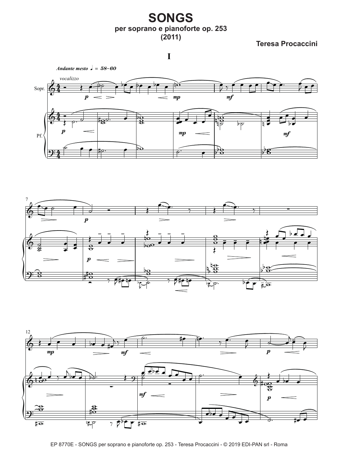#### **SONGS per soprano e pianoforte op. 253 (2011)**

**Teresa Procaccini**

**I**